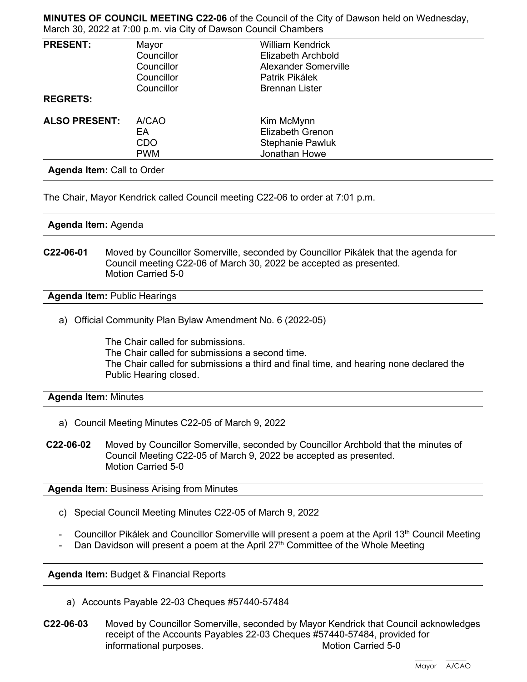**MINUTES OF COUNCIL MEETING C22-06** of the Council of the City of Dawson held on Wednesday, March 30, 2022 at 7:00 p.m. via City of Dawson Council Chambers

| <b>PRESENT:</b>      | Mayor      | <b>William Kendrick</b> |  |
|----------------------|------------|-------------------------|--|
|                      | Councillor | Elizabeth Archbold      |  |
|                      | Councillor | Alexander Somerville    |  |
|                      | Councillor | Patrik Pikálek          |  |
|                      | Councillor | <b>Brennan Lister</b>   |  |
| <b>REGRETS:</b>      |            |                         |  |
| <b>ALSO PRESENT:</b> | A/CAO      | Kim McMynn              |  |
|                      | EA         | Elizabeth Grenon        |  |
|                      | <b>CDO</b> | <b>Stephanie Pawluk</b> |  |
|                      | <b>PWM</b> | Jonathan Howe           |  |

The Chair, Mayor Kendrick called Council meeting C22-06 to order at 7:01 p.m.

## **Agenda Item:** Agenda

**C22-06-01** Moved by Councillor Somerville, seconded by Councillor Pikálek that the agenda for Council meeting C22-06 of March 30, 2022 be accepted as presented. Motion Carried 5-0

**Agenda Item:** Public Hearings

a) Official Community Plan Bylaw Amendment No. 6 (2022-05)

The Chair called for submissions. The Chair called for submissions a second time. The Chair called for submissions a third and final time, and hearing none declared the Public Hearing closed.

## **Agenda Item:** Minutes

- a) Council Meeting Minutes C22-05 of March 9, 2022
- **C22-06-02** Moved by Councillor Somerville, seconded by Councillor Archbold that the minutes of Council Meeting C22-05 of March 9, 2022 be accepted as presented. Motion Carried 5-0

**Agenda Item:** Business Arising from Minutes

- c) Special Council Meeting Minutes C22-05 of March 9, 2022
- Councillor Pikálek and Councillor Somerville will present a poem at the April 13<sup>th</sup> Council Meeting
- Dan Davidson will present a poem at the April  $27<sup>th</sup>$  Committee of the Whole Meeting

**Agenda Item:** Budget & Financial Reports

- a) Accounts Payable 22-03 Cheques #57440-57484
- **C22-06-03** Moved by Councillor Somerville, seconded by Mayor Kendrick that Council acknowledges receipt of the Accounts Payables 22-03 Cheques #57440-57484, provided for informational purposes. The matrix of the Motion Carried 5-0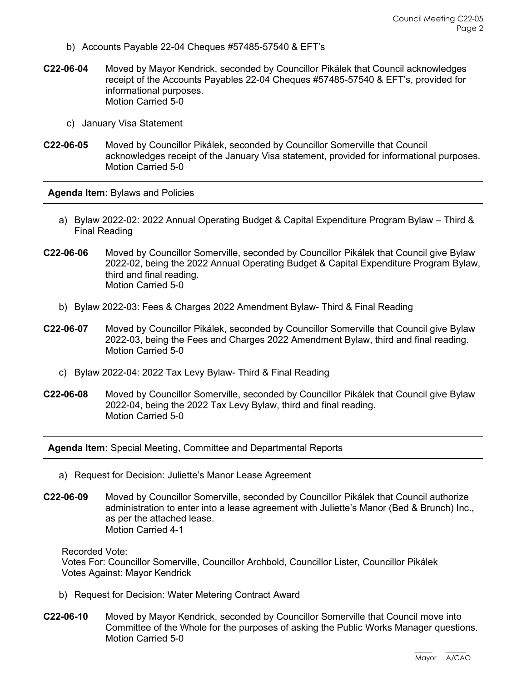- b) Accounts Payable 22-04 Cheques #57485-57540 & EFT's
- **C22-06-04** Moved by Mayor Kendrick, seconded by Councillor Pikálek that Council acknowledges receipt of the Accounts Payables 22-04 Cheques #57485-57540 & EFT's, provided for informational purposes. Motion Carried 5-0
	- c) January Visa Statement
- **C22-06-05** Moved by Councillor Pikálek, seconded by Councillor Somerville that Council acknowledges receipt of the January Visa statement, provided for informational purposes. Motion Carried 5-0

**Agenda Item:** Bylaws and Policies

- a) Bylaw 2022-02: 2022 Annual Operating Budget & Capital Expenditure Program Bylaw Third & Final Reading
- **C22-06-06** Moved by Councillor Somerville, seconded by Councillor Pikálek that Council give Bylaw 2022-02, being the 2022 Annual Operating Budget & Capital Expenditure Program Bylaw, third and final reading. Motion Carried 5-0
	- b) Bylaw 2022-03: Fees & Charges 2022 Amendment Bylaw- Third & Final Reading
- **C22-06-07** Moved by Councillor Pikálek, seconded by Councillor Somerville that Council give Bylaw 2022-03, being the Fees and Charges 2022 Amendment Bylaw, third and final reading. Motion Carried 5-0
	- c) Bylaw 2022-04: 2022 Tax Levy Bylaw- Third & Final Reading
- **C22-06-08** Moved by Councillor Somerville, seconded by Councillor Pikálek that Council give Bylaw 2022-04, being the 2022 Tax Levy Bylaw, third and final reading. Motion Carried 5-0

**Agenda Item:** Special Meeting, Committee and Departmental Reports

- a) Request for Decision: Juliette's Manor Lease Agreement
- **C22-06-09** Moved by Councillor Somerville, seconded by Councillor Pikálek that Council authorize administration to enter into a lease agreement with Juliette's Manor (Bed & Brunch) Inc., as per the attached lease. Motion Carried 4-1

Recorded Vote:

Votes For: Councillor Somerville, Councillor Archbold, Councillor Lister, Councillor Pikálek Votes Against: Mayor Kendrick

- b) Request for Decision: Water Metering Contract Award
- **C22-06-10** Moved by Mayor Kendrick, seconded by Councillor Somerville that Council move into Committee of the Whole for the purposes of asking the Public Works Manager questions. Motion Carried 5-0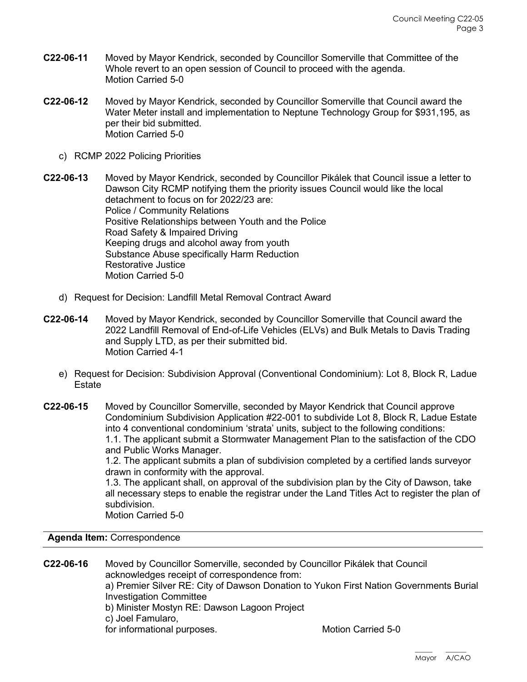- **C22-06-11** Moved by Mayor Kendrick, seconded by Councillor Somerville that Committee of the Whole revert to an open session of Council to proceed with the agenda. Motion Carried 5-0
- **C22-06-12** Moved by Mayor Kendrick, seconded by Councillor Somerville that Council award the Water Meter install and implementation to Neptune Technology Group for \$931,195, as per their bid submitted. Motion Carried 5-0
	- c) RCMP 2022 Policing Priorities

**C22-06-13** Moved by Mayor Kendrick, seconded by Councillor Pikálek that Council issue a letter to Dawson City RCMP notifying them the priority issues Council would like the local detachment to focus on for 2022/23 are: Police / Community Relations Positive Relationships between Youth and the Police Road Safety & Impaired Driving Keeping drugs and alcohol away from youth Substance Abuse specifically Harm Reduction Restorative Justice Motion Carried 5-0

- d) Request for Decision: Landfill Metal Removal Contract Award
- **C22-06-14** Moved by Mayor Kendrick, seconded by Councillor Somerville that Council award the 2022 Landfill Removal of End-of-Life Vehicles (ELVs) and Bulk Metals to Davis Trading and Supply LTD, as per their submitted bid. Motion Carried 4-1
	- e) Request for Decision: Subdivision Approval (Conventional Condominium): Lot 8, Block R, Ladue **Estate**
- **C22-06-15** Moved by Councillor Somerville, seconded by Mayor Kendrick that Council approve Condominium Subdivision Application #22-001 to subdivide Lot 8, Block R, Ladue Estate into 4 conventional condominium 'strata' units, subject to the following conditions: 1.1. The applicant submit a Stormwater Management Plan to the satisfaction of the CDO and Public Works Manager.

1.2. The applicant submits a plan of subdivision completed by a certified lands surveyor drawn in conformity with the approval.

1.3. The applicant shall, on approval of the subdivision plan by the City of Dawson, take all necessary steps to enable the registrar under the Land Titles Act to register the plan of subdivision.

Motion Carried 5-0

**Agenda Item:** Correspondence

**C22-06-16** Moved by Councillor Somerville, seconded by Councillor Pikálek that Council acknowledges receipt of correspondence from: a) Premier Silver RE: City of Dawson Donation to Yukon First Nation Governments Burial Investigation Committee b) Minister Mostyn RE: Dawson Lagoon Project c) Joel Famularo, for informational purposes. The motion Carried 5-0